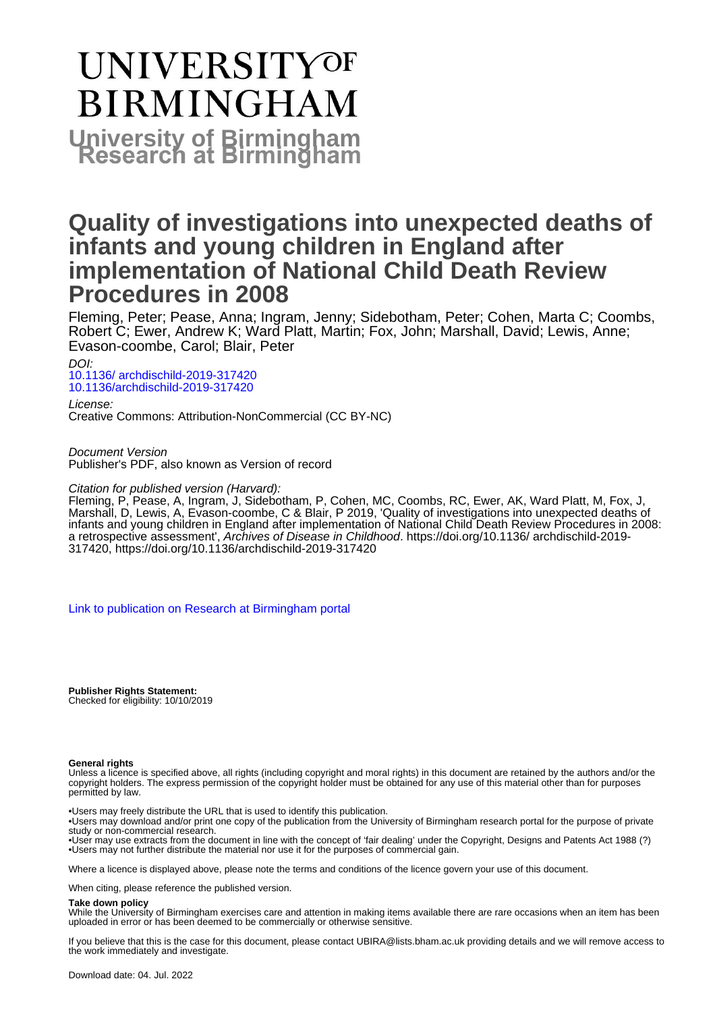# **UNIVERSITYOF BIRMINGHAM University of Birmingham**

# **Quality of investigations into unexpected deaths of infants and young children in England after implementation of National Child Death Review Procedures in 2008**

Fleming, Peter; Pease, Anna; Ingram, Jenny; Sidebotham, Peter; Cohen, Marta C; Coombs, Robert C; Ewer, Andrew K; Ward Platt, Martin; Fox, John; Marshall, David; Lewis, Anne; Evason-coombe, Carol; Blair, Peter

DOI: [10.1136/ archdischild-2019-317420](https://doi.org/10.1136/ archdischild-2019-317420) [10.1136/archdischild-2019-317420](https://doi.org/10.1136/archdischild-2019-317420)

License: Creative Commons: Attribution-NonCommercial (CC BY-NC)

Document Version Publisher's PDF, also known as Version of record

# Citation for published version (Harvard):

Fleming, P, Pease, A, Ingram, J, Sidebotham, P, Cohen, MC, Coombs, RC, Ewer, AK, Ward Platt, M, Fox, J, Marshall, D, Lewis, A, Evason-coombe, C & Blair, P 2019, 'Quality of investigations into unexpected deaths of infants and young children in England after implementation of National Child Death Review Procedures in 2008: a retrospective assessment', Archives of Disease in Childhood. [https://doi.org/10.1136/ archdischild-2019-](https://doi.org/10.1136/ archdischild-2019-317420) [317420](https://doi.org/10.1136/ archdischild-2019-317420), <https://doi.org/10.1136/archdischild-2019-317420>

[Link to publication on Research at Birmingham portal](https://birmingham.elsevierpure.com/en/publications/8814ba97-1bef-4cb1-8e6e-97b622c63631)

**Publisher Rights Statement:** Checked for eligibility: 10/10/2019

#### **General rights**

Unless a licence is specified above, all rights (including copyright and moral rights) in this document are retained by the authors and/or the copyright holders. The express permission of the copyright holder must be obtained for any use of this material other than for purposes permitted by law.

• Users may freely distribute the URL that is used to identify this publication.

• Users may download and/or print one copy of the publication from the University of Birmingham research portal for the purpose of private study or non-commercial research.

• User may use extracts from the document in line with the concept of 'fair dealing' under the Copyright, Designs and Patents Act 1988 (?) • Users may not further distribute the material nor use it for the purposes of commercial gain.

Where a licence is displayed above, please note the terms and conditions of the licence govern your use of this document.

When citing, please reference the published version.

#### **Take down policy**

While the University of Birmingham exercises care and attention in making items available there are rare occasions when an item has been uploaded in error or has been deemed to be commercially or otherwise sensitive.

If you believe that this is the case for this document, please contact UBIRA@lists.bham.ac.uk providing details and we will remove access to the work immediately and investigate.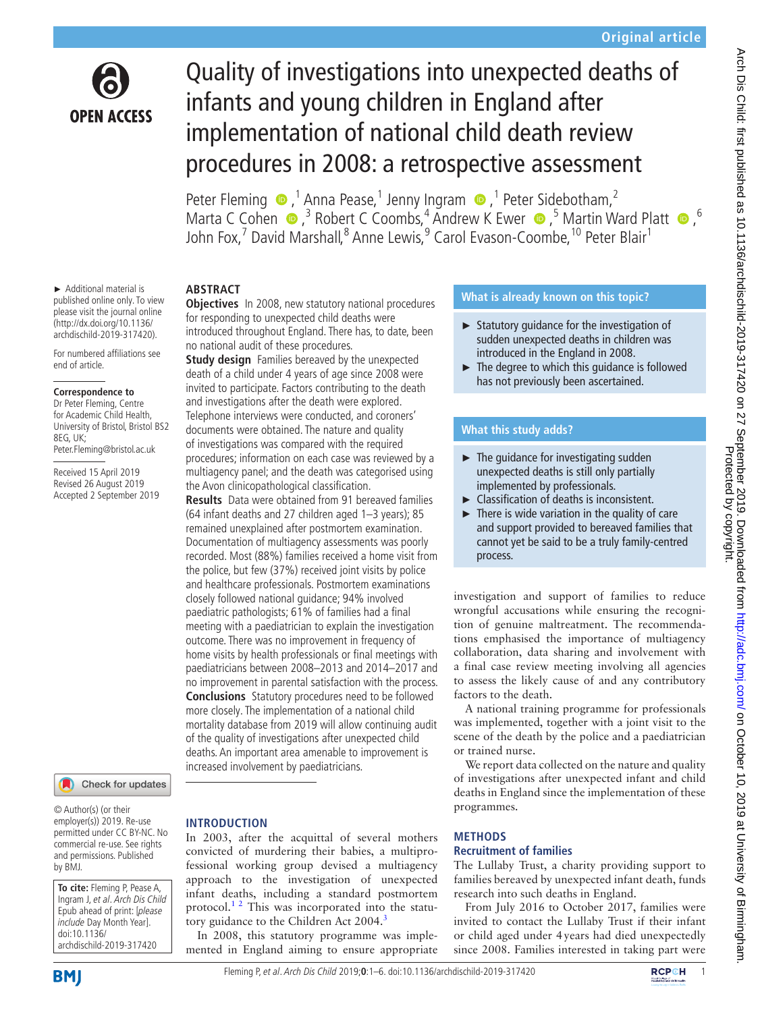

► Additional material is published online only. To view please visit the journal online (http://dx.doi.org/10.1136/ archdischild-2019-317420). For numbered affiliations see

end of article.

8EG, UK;

**Correspondence to** Dr Peter Fleming, Centre for Academic Child Health, University of Bristol, Bristol BS2

Peter.Fleming@bristol.ac.uk Received 15 April 2019 Revised 26 August 2019 Accepted 2 September 2019

# Quality of investigations into unexpected deaths of infants and young children in England after implementation of national child death review procedures in 2008: a retrospective assessment

PeterFleming  $\bullet$ , <sup>1</sup> Anna Pease, <sup>1</sup> Jenny Ingram  $\bullet$ , <sup>1</sup> Peter Sidebotham, 2 MartaC Cohen  $\bullet$ ,<sup>3</sup> Robert C Coombs,<sup>4</sup> Andrew K Ewer  $\bullet$ ,<sup>5</sup> Martin Ward Platt  $\bullet$ ,<sup>6</sup> John Fox,<sup>7</sup> David Marshall,<sup>8</sup> Anne Lewis,<sup>9</sup> Carol Evason-Coombe,<sup>10</sup> Peter Blair<sup>1</sup>

# **Abstract**

**Objectives** In 2008, new statutory national procedures for responding to unexpected child deaths were introduced throughout England. There has, to date, been no national audit of these procedures.

**Study design** Families bereaved by the unexpected death of a child under 4 years of age since 2008 were invited to participate. Factors contributing to the death and investigations after the death were explored. Telephone interviews were conducted, and coroners' documents were obtained. The nature and quality of investigations was compared with the required procedures; information on each case was reviewed by a multiagency panel; and the death was categorised using the Avon clinicopathological classification.

**Results** Data were obtained from 91 bereaved families (64 infant deaths and 27 children aged 1–3 years); 85 remained unexplained after postmortem examination. Documentation of multiagency assessments was poorly recorded. Most (88%) families received a home visit from the police, but few (37%) received joint visits by police and healthcare professionals. Postmortem examinations closely followed national guidance; 94% involved paediatric pathologists; 61% of families had a final meeting with a paediatrician to explain the investigation outcome. There was no improvement in frequency of home visits by health professionals or final meetings with paediatricians between 2008–2013 and 2014–2017 and no improvement in parental satisfaction with the process. **Conclusions** Statutory procedures need to be followed more closely. The implementation of a national child mortality database from 2019 will allow continuing audit of the quality of investigations after unexpected child deaths. An important area amenable to improvement is increased involvement by paediatricians.

# Check for updates

© Author(s) (or their employer(s)) 2019. Re-use permitted under CC BY-NC. No commercial re-use. See rights and permissions. Published by BMJ.

**To cite:** Fleming P, Pease A, Ingram J, et al. Arch Dis Child Epub ahead of print: [please include Day Month Year]. doi:10.1136/ archdischild-2019-317420

#### **Introduction**

In 2003, after the acquittal of several mothers convicted of murdering their babies, a multiprofessional working group devised a multiagency approach to the investigation of unexpected infant deaths, including a standard postmortem protocol. $1<sup>2</sup>$  This was incorporated into the statu-tory guidance to the Children Act 2004.<sup>[3](#page-6-1)</sup>

In 2008, this statutory programme was implemented in England aiming to ensure appropriate

# **What is already known on this topic?**

- ► Statutory guidance for the investigation of sudden unexpected deaths in children was introduced in the England in 2008.
- ► The degree to which this guidance is followed has not previously been ascertained.

# **What this study adds?**

- $\blacktriangleright$  The guidance for investigating sudden unexpected deaths is still only partially implemented by professionals.
- ► Classification of deaths is inconsistent.
- $\blacktriangleright$  There is wide variation in the quality of care and support provided to bereaved families that cannot yet be said to be a truly family-centred process.

investigation and support of families to reduce wrongful accusations while ensuring the recognition of genuine maltreatment. The recommendations emphasised the importance of multiagency collaboration, data sharing and involvement with a final case review meeting involving all agencies to assess the likely cause of and any contributory factors to the death.

A national training programme for professionals was implemented, together with a joint visit to the scene of the death by the police and a paediatrician or trained nurse.

We report data collected on the nature and quality of investigations after unexpected infant and child deaths in England since the implementation of these programmes.

# **Methods**

# **Recruitment of families**

The Lullaby Trust, a charity providing support to families bereaved by unexpected infant death, funds research into such deaths in England.

From July 2016 to October 2017, families were invited to contact the Lullaby Trust if their infant or child aged under 4years had died unexpectedly since 2008. Families interested in taking part were

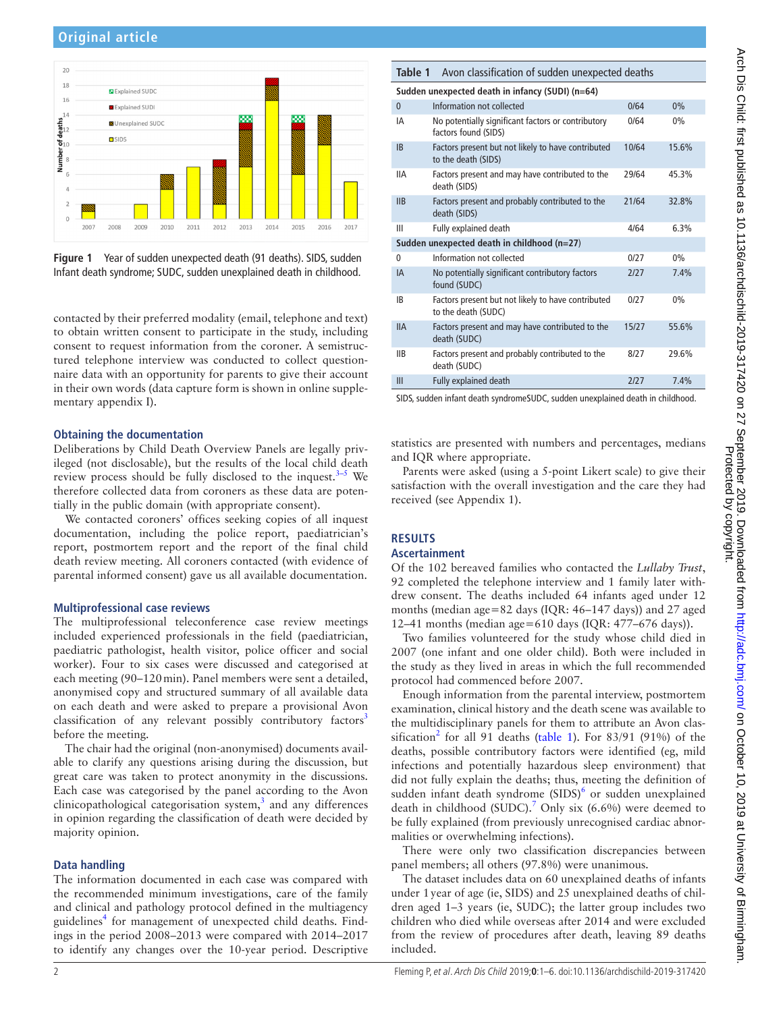# **Original article**



<span id="page-2-1"></span>**Figure 1** Year of sudden unexpected death (91 deaths). SIDS, sudden Infant death syndrome; SUDC, sudden unexplained death in childhood.

contacted by their preferred modality (email, telephone and text) to obtain written consent to participate in the study, including consent to request information from the coroner. A semistructured telephone interview was conducted to collect questionnaire data with an opportunity for parents to give their account in their own words (data capture form is shown in online supplementary [appendix I\)](https://dx.doi.org/10.1136/archdischild-2019-317420).

## **Obtaining the documentation**

Deliberations by Child Death Overview Panels are legally privileged (not disclosable), but the results of the local child death review process should be fully disclosed to the inquest.<sup>3–5</sup> We therefore collected data from coroners as these data are potentially in the public domain (with appropriate consent).

We contacted coroners' offices seeking copies of all inquest documentation, including the police report, paediatrician's report, postmortem report and the report of the final child death review meeting. All coroners contacted (with evidence of parental informed consent) gave us all available documentation.

# **Multiprofessional case reviews**

The multiprofessional teleconference case review meetings included experienced professionals in the field (paediatrician, paediatric pathologist, health visitor, police officer and social worker). Four to six cases were discussed and categorised at each meeting (90–120min). Panel members were sent a detailed, anonymised copy and structured summary of all available data on each death and were asked to prepare a provisional Avon classification of any relevant possibly contributory factors<sup>3</sup> before the meeting.

The chair had the original (non-anonymised) documents available to clarify any questions arising during the discussion, but great care was taken to protect anonymity in the discussions. Each case was categorised by the panel according to the Avon  $clinico pathological categorisation system<sup>3</sup>$  $clinico pathological categorisation system<sup>3</sup>$  $clinico pathological categorisation system<sup>3</sup>$  and any differences in opinion regarding the classification of death were decided by majority opinion.

# **Data handling**

The information documented in each case was compared with the recommended minimum investigations, care of the family and clinical and pathology protocol defined in the multiagency guidelines<sup>[4](#page-6-2)</sup> for management of unexpected child deaths. Findings in the period 2008–2013 were compared with 2014–2017 to identify any changes over the 10-year period. Descriptive

<span id="page-2-0"></span>

| Table 1                                          | Avon classification of sudden unexpected deaths                            |       |       |  |
|--------------------------------------------------|----------------------------------------------------------------------------|-------|-------|--|
| Sudden unexpected death in infancy (SUDI) (n=64) |                                                                            |       |       |  |
| 0                                                | Information not collected                                                  | 0/64  | 0%    |  |
| IA                                               | No potentially significant factors or contributory<br>factors found (SIDS) | 0/64  | 0%    |  |
| IB                                               | Factors present but not likely to have contributed<br>to the death (SIDS)  | 10/64 | 15.6% |  |
| IIА                                              | Factors present and may have contributed to the<br>death (SIDS)            | 29/64 | 45.3% |  |
| <b>IIB</b>                                       | Factors present and probably contributed to the<br>death (SIDS)            | 21/64 | 32.8% |  |
| Ш                                                | Fully explained death                                                      | 4/64  | 6.3%  |  |
|                                                  | Sudden unexpected death in childhood (n=27)                                |       |       |  |
| 0                                                | Information not collected                                                  | 0/27  | 0%    |  |
| IA                                               | No potentially significant contributory factors<br>found (SUDC)            | 2/27  | 7.4%  |  |
| IB                                               | Factors present but not likely to have contributed<br>to the death (SUDC)  | 0/27  | 0%    |  |
| <b>IIA</b>                                       | Factors present and may have contributed to the<br>death (SUDC)            | 15/27 | 55.6% |  |
| <b>IIB</b>                                       | Factors present and probably contributed to the<br>death (SUDC)            | 8/27  | 29.6% |  |
| Ш                                                | <b>Fully explained death</b>                                               | 2/27  | 7.4%  |  |

SIDS, sudden infant death syndromeSUDC, sudden unexplained death in childhood.

statistics are presented with numbers and percentages, medians and IQR where appropriate.

Parents were asked (using a 5-point Likert scale) to give their satisfaction with the overall investigation and the care they had received (see [Appendix 1](https://dx.doi.org/10.1136/archdischild-2019-317420)).

# **Results**

# **Ascertainment**

Of the 102 bereaved families who contacted the *Lullaby Trust*, 92 completed the telephone interview and 1 family later withdrew consent. The deaths included 64 infants aged under 12 months (median age=82 days (IQR: 46–147 days)) and 27 aged 12–41 months (median age=610 days (IQR: 477–676 days)).

Two families volunteered for the study whose child died in 2007 (one infant and one older child). Both were included in the study as they lived in areas in which the full recommended protocol had commenced before 2007.

Enough information from the parental interview, postmortem examination, clinical history and the death scene was available to the multidisciplinary panels for them to attribute an Avon clas-sification<sup>[2](#page-6-3)</sup> for all 91 deaths ([table](#page-2-0) 1). For 83/91 (91%) of the deaths, possible contributory factors were identified (eg, mild infections and potentially hazardous sleep environment) that did not fully explain the deaths; thus, meeting the definition of sudden infant death syndrome  $(SIDS)^6$  $(SIDS)^6$  or sudden unexplained death in childhood (SUDC).<sup>[7](#page-6-5)</sup> Only six (6.6%) were deemed to be fully explained (from previously unrecognised cardiac abnormalities or overwhelming infections).

There were only two classification discrepancies between panel members; all others (97.8%) were unanimous.

The dataset includes data on 60 unexplained deaths of infants under 1year of age (ie, SIDS) and 25 unexplained deaths of children aged 1–3 years (ie, SUDC); the latter group includes two children who died while overseas after 2014 and were excluded from the review of procedures after death, leaving 89 deaths included.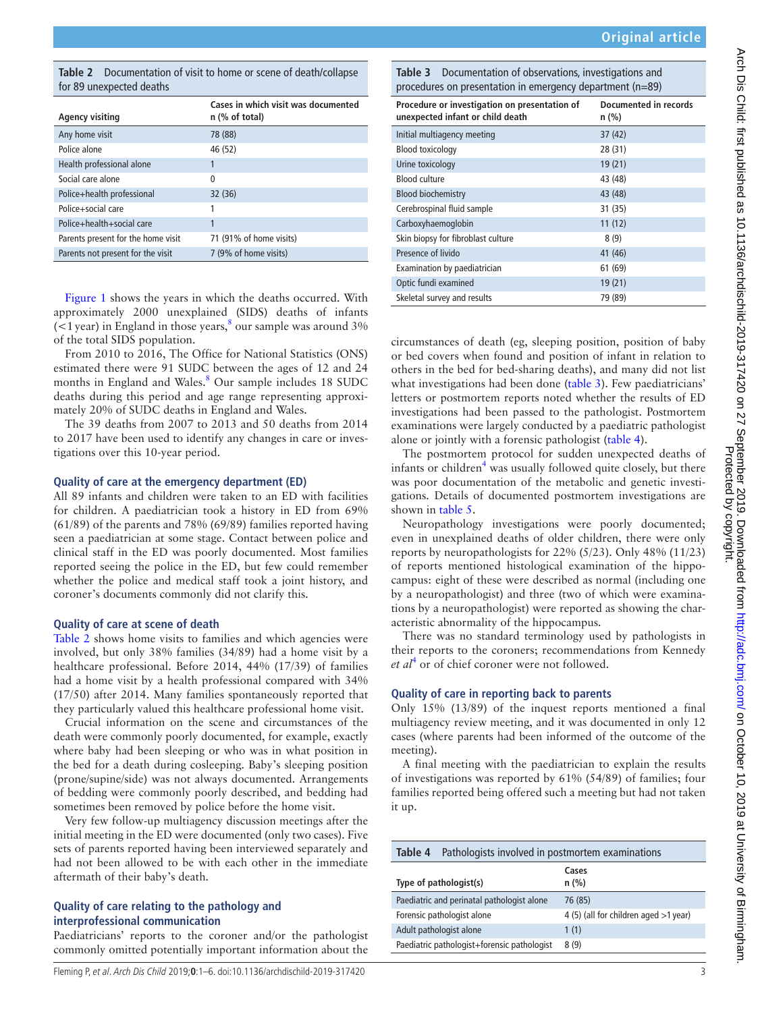<span id="page-3-0"></span>

| Table 2 Documentation of visit to home or scene of death/collapse |
|-------------------------------------------------------------------|
| for 89 unexpected deaths                                          |

| <b>Agency visiting</b>             | Cases in which visit was documented<br>$n$ (% of total) |  |
|------------------------------------|---------------------------------------------------------|--|
| Any home visit                     | 78 (88)                                                 |  |
| Police alone                       | 46 (52)                                                 |  |
| Health professional alone          |                                                         |  |
| Social care alone                  | 0                                                       |  |
| Police+health professional         | 32 (36)                                                 |  |
| Police+social care                 |                                                         |  |
| Police+health+social care          |                                                         |  |
| Parents present for the home visit | 71 (91% of home visits)                                 |  |
| Parents not present for the visit  | 7 (9% of home visits)                                   |  |

[Figure](#page-2-1) 1 shows the years in which the deaths occurred. With approximately 2000 unexplained (SIDS) deaths of infants  $\left($  < 1 year) in England in those years,<sup>[8](#page-6-6)</sup> our sample was around 3% of the total SIDS population.

From 2010 to 2016, The Office for National Statistics (ONS) estimated there were 91 SUDC between the ages of 12 and 24 months in England and Wales.<sup>8</sup> Our sample includes 18 SUDC deaths during this period and age range representing approximately 20% of SUDC deaths in England and Wales.

The 39 deaths from 2007 to 2013 and 50 deaths from 2014 to 2017 have been used to identify any changes in care or investigations over this 10-year period.

#### **Quality of care at the emergency department (ED)**

All 89 infants and children were taken to an ED with facilities for children. A paediatrician took a history in ED from 69% (61/89) of the parents and 78% (69/89) families reported having seen a paediatrician at some stage. Contact between police and clinical staff in the ED was poorly documented. Most families reported seeing the police in the ED, but few could remember whether the police and medical staff took a joint history, and coroner's documents commonly did not clarify this.

# **Quality of care at scene of death**

[Table](#page-3-0) 2 shows home visits to families and which agencies were involved, but only 38% families (34/89) had a home visit by a healthcare professional. Before 2014, 44% (17/39) of families had a home visit by a health professional compared with 34% (17/50) after 2014. Many families spontaneously reported that they particularly valued this healthcare professional home visit.

Crucial information on the scene and circumstances of the death were commonly poorly documented, for example, exactly where baby had been sleeping or who was in what position in the bed for a death during cosleeping. Baby's sleeping position (prone/supine/side) was not always documented. Arrangements of bedding were commonly poorly described, and bedding had sometimes been removed by police before the home visit.

Very few follow-up multiagency discussion meetings after the initial meeting in the ED were documented (only two cases). Five sets of parents reported having been interviewed separately and had not been allowed to be with each other in the immediate aftermath of their baby's death.

# **Quality of care relating to the pathology and interprofessional communication**

Paediatricians' reports to the coroner and/or the pathologist commonly omitted potentially important information about the

<span id="page-3-1"></span>**Table 3** Documentation of observations, investigations and procedures on presentation in emergency department (n=89)

| Procedure or investigation on presentation of<br>unexpected infant or child death | Documented in records<br>$n$ (%) |
|-----------------------------------------------------------------------------------|----------------------------------|
| Initial multiagency meeting                                                       | 37(42)                           |
| <b>Blood toxicology</b>                                                           | 28 (31)                          |
| Urine toxicology                                                                  | 19(21)                           |
| Blood culture                                                                     | 43 (48)                          |
| <b>Blood biochemistry</b>                                                         | 43 (48)                          |
| Cerebrospinal fluid sample                                                        | 31 (35)                          |
| Carboxyhaemoglobin                                                                | 11(12)                           |
| Skin biopsy for fibroblast culture                                                | 8(9)                             |
| Presence of livido                                                                | 41 (46)                          |
| Examination by paediatrician                                                      | 61 (69)                          |
| Optic fundi examined                                                              | 19(21)                           |
| Skeletal survey and results                                                       | 79 (89)                          |

circumstances of death (eg, sleeping position, position of baby or bed covers when found and position of infant in relation to others in the bed for bed-sharing deaths), and many did not list what investigations had been done [\(table](#page-3-1) 3). Few paediatricians' letters or postmortem reports noted whether the results of ED investigations had been passed to the pathologist. Postmortem examinations were largely conducted by a paediatric pathologist alone or jointly with a forensic pathologist [\(table](#page-3-2) 4).

The postmortem protocol for sudden unexpected deaths of infants or children<sup>[4](#page-6-2)</sup> was usually followed quite closely, but there was poor documentation of the metabolic and genetic investigations. Details of documented postmortem investigations are shown in [table](#page-4-0) 5.

Neuropathology investigations were poorly documented; even in unexplained deaths of older children, there were only reports by neuropathologists for 22% (5/23). Only 48% (11/23) of reports mentioned histological examination of the hippocampus: eight of these were described as normal (including one by a neuropathologist) and three (two of which were examinations by a neuropathologist) were reported as showing the characteristic abnormality of the hippocampus.

There was no standard terminology used by pathologists in their reports to the coroners; recommendations from Kennedy *et al*[4](#page-6-2) or of chief coroner were not followed.

# **Quality of care in reporting back to parents**

Only 15% (13/89) of the inquest reports mentioned a final multiagency review meeting, and it was documented in only 12 cases (where parents had been informed of the outcome of the meeting).

A final meeting with the paediatrician to explain the results of investigations was reported by 61% (54/89) of families; four families reported being offered such a meeting but had not taken it up.

<span id="page-3-2"></span>

| Table 4                                     | Pathologists involved in postmortem examinations |  |  |
|---------------------------------------------|--------------------------------------------------|--|--|
| Type of pathologist(s)                      | Cases<br>n(%)                                    |  |  |
| Paediatric and perinatal pathologist alone  | 76 (85)                                          |  |  |
| Forensic pathologist alone                  | 4 (5) (all for children aged $>1$ year)          |  |  |
| Adult pathologist alone                     | 1(1)                                             |  |  |
| Paediatric pathologist+forensic pathologist | 8(9)                                             |  |  |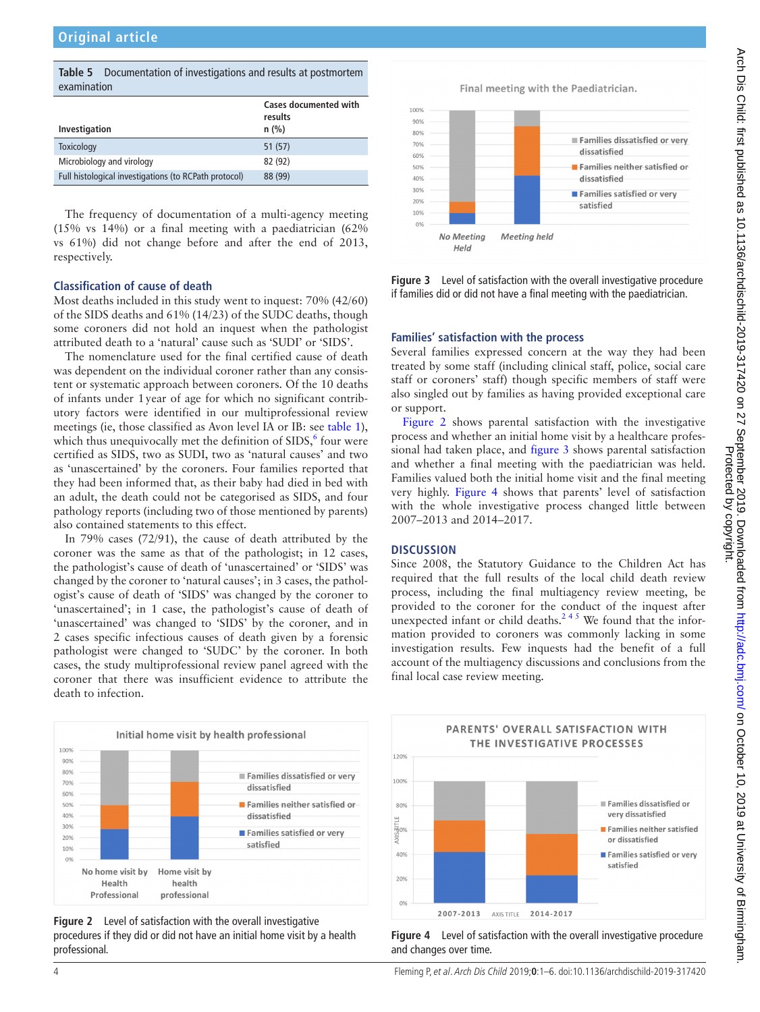<span id="page-4-0"></span>

|             | <b>Table 5</b> Documentation of investigations and results at postmortem |
|-------------|--------------------------------------------------------------------------|
| examination |                                                                          |

| Investigation                                         | <b>Cases documented with</b><br>results<br>n(%) |
|-------------------------------------------------------|-------------------------------------------------|
| Toxicology                                            | 51(57)                                          |
| Microbiology and virology                             | 82 (92)                                         |
| Full histological investigations (to RCPath protocol) | 88 (99)                                         |

The frequency of documentation of a multi-agency meeting (15% vs 14%) or a final meeting with a paediatrician (62% vs 61%) did not change before and after the end of 2013, respectively.

## **Classification of cause of death**

Most deaths included in this study went to inquest: 70% (42/60) of the SIDS deaths and 61% (14/23) of the SUDC deaths, though some coroners did not hold an inquest when the pathologist attributed death to a 'natural' cause such as 'SUDI' or 'SIDS'.

The nomenclature used for the final certified cause of death was dependent on the individual coroner rather than any consistent or systematic approach between coroners. Of the 10 deaths of infants under 1year of age for which no significant contributory factors were identified in our multiprofessional review meetings (ie, those classified as Avon level IA or IB: see [table](#page-2-0) 1), which thus unequivocally met the definition of  $\text{SIDS}_2^6$  four were certified as SIDS, two as SUDI, two as 'natural causes' and two as 'unascertained' by the coroners. Four families reported that they had been informed that, as their baby had died in bed with an adult, the death could not be categorised as SIDS, and four pathology reports (including two of those mentioned by parents) also contained statements to this effect.

In 79% cases (72/91), the cause of death attributed by the coroner was the same as that of the pathologist; in 12 cases, the pathologist's cause of death of 'unascertained' or 'SIDS' was changed by the coroner to 'natural causes'; in 3 cases, the pathologist's cause of death of 'SIDS' was changed by the coroner to 'unascertained'; in 1 case, the pathologist's cause of death of 'unascertained' was changed to 'SIDS' by the coroner, and in 2 cases specific infectious causes of death given by a forensic pathologist were changed to 'SUDC' by the coroner. In both cases, the study multiprofessional review panel agreed with the coroner that there was insufficient evidence to attribute the death to infection.



<span id="page-4-1"></span>



Final meeting with the Paediatrician.

<span id="page-4-2"></span>**Figure 3** Level of satisfaction with the overall investigative procedure if families did or did not have a final meeting with the paediatrician.

# **Families' satisfaction with the process**

Several families expressed concern at the way they had been treated by some staff (including clinical staff, police, social care staff or coroners' staff) though specific members of staff were also singled out by families as having provided exceptional care or support.

[Figure](#page-4-1) 2 shows parental satisfaction with the investigative process and whether an initial home visit by a healthcare professional had taken place, and [figure](#page-4-2) 3 shows parental satisfaction and whether a final meeting with the paediatrician was held. Families valued both the initial home visit and the final meeting very highly. [Figure](#page-4-3) 4 shows that parents' level of satisfaction with the whole investigative process changed little between 2007–2013 and 2014–2017.

# **Discussion**

Since 2008, the Statutory Guidance to the Children Act has required that the full results of the local child death review process, including the final multiagency review meeting, be provided to the coroner for the conduct of the inquest after unexpected infant or child deaths.<sup>245</sup> We found that the information provided to coroners was commonly lacking in some investigation results. Few inquests had the benefit of a full account of the multiagency discussions and conclusions from the final local case review meeting.



<span id="page-4-3"></span>**Figure 4** Level of satisfaction with the overall investigative procedure and changes over time.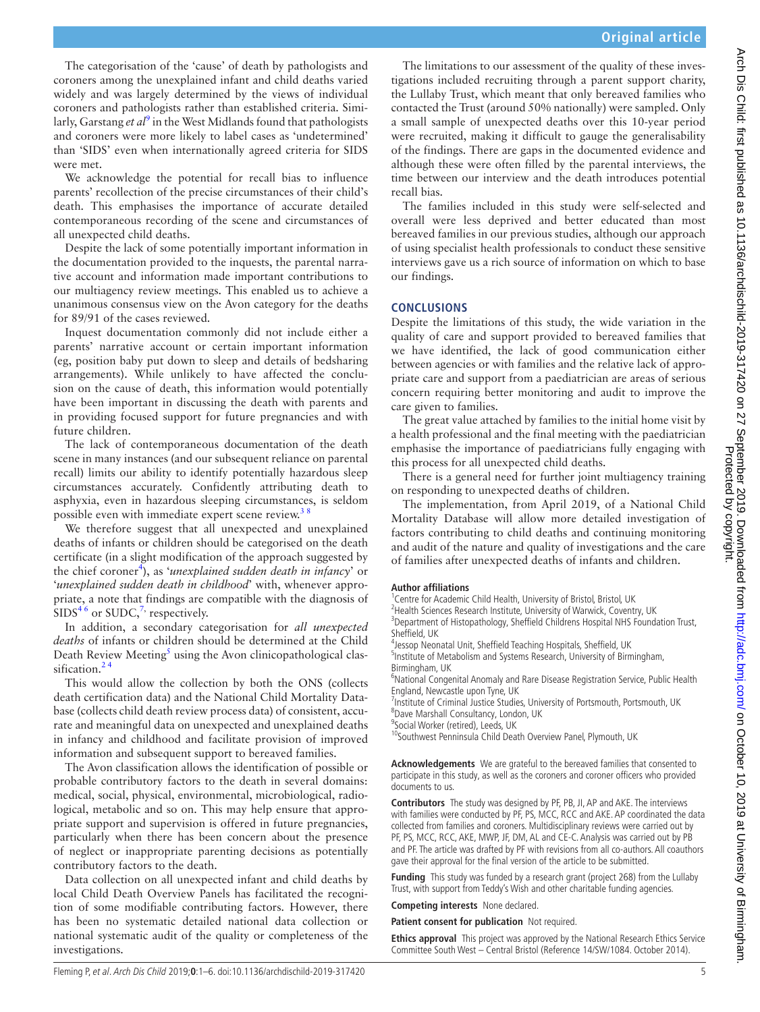The categorisation of the 'cause' of death by pathologists and coroners among the unexplained infant and child deaths varied widely and was largely determined by the views of individual coroners and pathologists rather than established criteria. Simi-larly, Garstang et al<sup>[9](#page-6-7)</sup> in the West Midlands found that pathologists and coroners were more likely to label cases as 'undetermined' than 'SIDS' even when internationally agreed criteria for SIDS were met.

We acknowledge the potential for recall bias to influence parents' recollection of the precise circumstances of their child's death. This emphasises the importance of accurate detailed contemporaneous recording of the scene and circumstances of all unexpected child deaths.

Despite the lack of some potentially important information in the documentation provided to the inquests, the parental narrative account and information made important contributions to our multiagency review meetings. This enabled us to achieve a unanimous consensus view on the Avon category for the deaths for 89/91 of the cases reviewed.

Inquest documentation commonly did not include either a parents' narrative account or certain important information (eg, position baby put down to sleep and details of bedsharing arrangements). While unlikely to have affected the conclusion on the cause of death, this information would potentially have been important in discussing the death with parents and in providing focused support for future pregnancies and with future children.

The lack of contemporaneous documentation of the death scene in many instances (and our subsequent reliance on parental recall) limits our ability to identify potentially hazardous sleep circumstances accurately. Confidently attributing death to asphyxia, even in hazardous sleeping circumstances, is seldom possible even with immediate expert scene review.<sup>3</sup>

We therefore suggest that all unexpected and unexplained deaths of infants or children should be categorised on the death certificate (in a slight modification of the approach suggested by the chief coroner<sup>[4](#page-6-2)</sup>), as 'unexplained sudden death in infancy' or '*unexplained sudden death in childhood*' with, whenever appropriate, a note that findings are compatible with the diagnosis of  $SIDS<sup>46</sup>$  or  $SUDC<sub>2</sub><sup>7</sup>$ , respectively.

In addition, a secondary categorisation for *all unexpected deaths* of infants or children should be determined at the Child Death Review Meeting<sup>[5](#page-6-8)</sup> using the Avon clinicopathological classification.<sup>24</sup>

This would allow the collection by both the ONS (collects death certification data) and the National Child Mortality Database (collects child death review process data) of consistent, accurate and meaningful data on unexpected and unexplained deaths in infancy and childhood and facilitate provision of improved information and subsequent support to bereaved families.

The Avon classification allows the identification of possible or probable contributory factors to the death in several domains: medical, social, physical, environmental, microbiological, radiological, metabolic and so on. This may help ensure that appropriate support and supervision is offered in future pregnancies, particularly when there has been concern about the presence of neglect or inappropriate parenting decisions as potentially contributory factors to the death.

Data collection on all unexpected infant and child deaths by local Child Death Overview Panels has facilitated the recognition of some modifiable contributing factors. However, there has been no systematic detailed national data collection or national systematic audit of the quality or completeness of the investigations.

The limitations to our assessment of the quality of these investigations included recruiting through a parent support charity, the Lullaby Trust, which meant that only bereaved families who contacted the Trust (around 50% nationally) were sampled. Only a small sample of unexpected deaths over this 10-year period were recruited, making it difficult to gauge the generalisability of the findings. There are gaps in the documented evidence and although these were often filled by the parental interviews, the time between our interview and the death introduces potential recall bias.

The families included in this study were self-selected and overall were less deprived and better educated than most bereaved families in our previous studies, although our approach of using specialist health professionals to conduct these sensitive interviews gave us a rich source of information on which to base our findings.

# **Conclusions**

Despite the limitations of this study, the wide variation in the quality of care and support provided to bereaved families that we have identified, the lack of good communication either between agencies or with families and the relative lack of appropriate care and support from a paediatrician are areas of serious concern requiring better monitoring and audit to improve the care given to families.

The great value attached by families to the initial home visit by a health professional and the final meeting with the paediatrician emphasise the importance of paediatricians fully engaging with this process for all unexpected child deaths.

There is a general need for further joint multiagency training on responding to unexpected deaths of children.

The implementation, from April 2019, of a National Child Mortality Database will allow more detailed investigation of factors contributing to child deaths and continuing monitoring and audit of the nature and quality of investigations and the care of families after unexpected deaths of infants and children.

#### **Author affiliations**

<sup>1</sup> Centre for Academic Child Health, University of Bristol, Bristol, UK

<sup>2</sup> Health Sciences Research Institute, University of Warwick, Coventry, UK <sup>3</sup>Department of Histopathology, Sheffield Childrens Hospital NHS Foundation Trust, Sheffield, UK

4 Jessop Neonatal Unit, Sheffield Teaching Hospitals, Sheffield, UK

5 Institute of Metabolism and Systems Research, University of Birmingham, Birmingham, UK

<sup>6</sup>National Congenital Anomaly and Rare Disease Registration Service, Public Health England, Newcastle upon Tyne, UK

<sup>7</sup>Institute of Criminal Justice Studies, University of Portsmouth, Portsmouth, UK 8 Dave Marshall Consultancy, London, UK

<sup>9</sup>Social Worker (retired), Leeds, UK

<sup>10</sup>Southwest Penninsula Child Death Overview Panel, Plymouth, UK

**Acknowledgements** We are grateful to the bereaved families that consented to participate in this study, as well as the coroners and coroner officers who provided documents to us.

**Contributors** The study was designed by PF, PB, JI, AP and AKE. The interviews with families were conducted by PF, PS, MCC, RCC and AKE. AP coordinated the data collected from families and coroners. Multidisciplinary reviews were carried out by PF, PS, MCC, RCC, AKE, MWP, JF, DM, AL and CE-C. Analysis was carried out by PB and PF. The article was drafted by PF with revisions from all co-authors. All coauthors gave their approval for the final version of the article to be submitted.

**Funding** This study was funded by a research grant (project 268) from the Lullaby Trust, with support from Teddy's Wish and other charitable funding agencies.

**Competing interests** None declared.

**Patient consent for publication** Not required.

**Ethics approval** This project was approved by the National Research Ethics Service Committee South West – Central Bristol (Reference 14/SW/1084. October 2014).